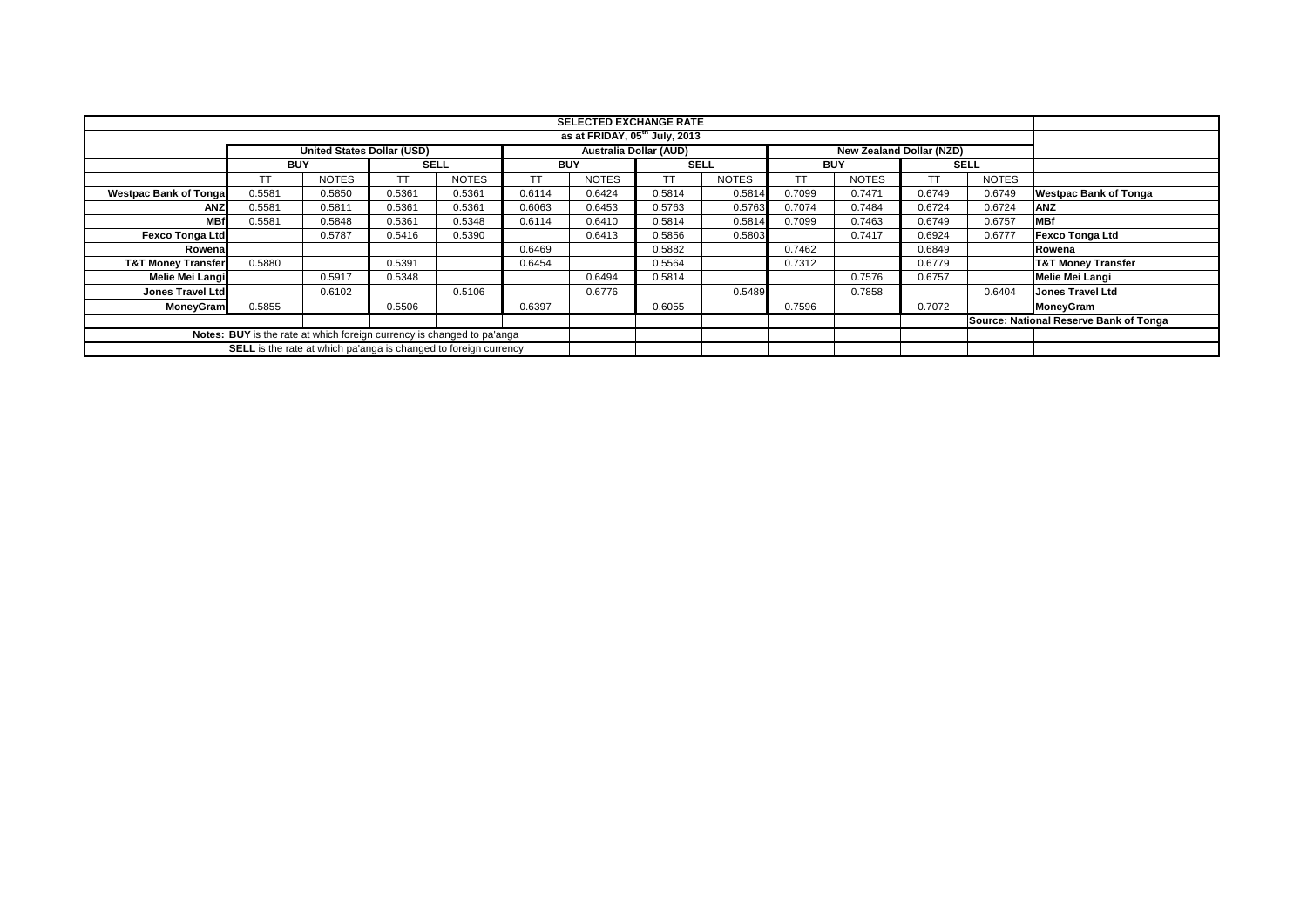|                                                                        |            |                                   |             |              |            | <b>SELECTED EXCHANGE RATE</b><br>as at FRIDAY, 05 <sup>th</sup> July, 2013 |             |              |            |                                 |        |              |                                        |
|------------------------------------------------------------------------|------------|-----------------------------------|-------------|--------------|------------|----------------------------------------------------------------------------|-------------|--------------|------------|---------------------------------|--------|--------------|----------------------------------------|
|                                                                        |            |                                   |             |              |            |                                                                            |             |              |            |                                 |        |              |                                        |
|                                                                        |            | <b>United States Dollar (USD)</b> |             |              |            | <b>Australia Dollar (AUD)</b>                                              |             |              |            | <b>New Zealand Dollar (NZD)</b> |        |              |                                        |
|                                                                        | <b>BUY</b> |                                   | <b>SELL</b> |              | <b>BUY</b> |                                                                            | <b>SELL</b> |              | <b>BUY</b> |                                 |        | <b>SELL</b>  |                                        |
|                                                                        | TT         | <b>NOTES</b>                      |             | <b>NOTES</b> |            | <b>NOTES</b>                                                               | <b>TT</b>   | <b>NOTES</b> | TТ         | <b>NOTES</b>                    | ТT     | <b>NOTES</b> |                                        |
| <b>Westpac Bank of Tonga</b>                                           | 0.5581     | 0.5850                            | 0.5361      | 0.5361       | 0.6114     | 0.6424                                                                     | 0.5814      | 0.5814       | 0.7099     | 0.7471                          | 0.6749 | 0.6749       | <b>Westpac Bank of Tonga</b>           |
| ANZ                                                                    | 0.5581     | 0.5811                            | 0.5361      | 0.5361       | 0.6063     | 0.6453                                                                     | 0.5763      | 0.5763       | 0.7074     | 0.7484                          | 0.6724 | 0.6724       | <b>ANZ</b>                             |
| <b>MBf</b>                                                             | 0.5581     | 0.5848                            | 0.5361      | 0.5348       | 0.6114     | 0.6410                                                                     | 0.5814      | 0.5814       | 0.7099     | 0.7463                          | 0.6749 | 0.6757       | <b>MBf</b>                             |
| <b>Fexco Tonga Ltd</b>                                                 |            | 0.5787                            | 0.5416      | 0.5390       |            | 0.6413                                                                     | 0.5856      | 0.5803       |            | 0.7417                          | 0.6924 | 0.6777       | <b>Fexco Tonga Ltd</b>                 |
| Rowena                                                                 |            |                                   |             |              | 0.6469     |                                                                            | 0.5882      |              | 0.7462     |                                 | 0.6849 |              | Rowena                                 |
| <b>T&amp;T Money Transfer</b>                                          | 0.5880     |                                   | 0.5391      |              | 0.6454     |                                                                            | 0.5564      |              | 0.7312     |                                 | 0.6779 |              | <b>T&amp;T Money Transfer</b>          |
| Melie Mei Langi                                                        |            | 0.5917                            | 0.5348      |              |            | 0.6494                                                                     | 0.5814      |              |            | 0.7576                          | 0.6757 |              | <b>Melie Mei Langi</b>                 |
| <b>Jones Travel Ltd</b>                                                |            | 0.6102                            |             | 0.5106       |            | 0.6776                                                                     |             | 0.5489       |            | 0.7858                          |        | 0.6404       | <b>Jones Travel Ltd</b>                |
| MoneyGram                                                              | 0.5855     |                                   | 0.5506      |              | 0.6397     |                                                                            | 0.6055      |              | 0.7596     |                                 | 0.7072 |              | <b>MoneyGram</b>                       |
|                                                                        |            |                                   |             |              |            |                                                                            |             |              |            |                                 |        |              | Source: National Reserve Bank of Tonga |
| Notes: BUY is the rate at which foreign currency is changed to pa'anga |            |                                   |             |              |            |                                                                            |             |              |            |                                 |        |              |                                        |
| SELL is the rate at which pa'anga is changed to foreign currency       |            |                                   |             |              |            |                                                                            |             |              |            |                                 |        |              |                                        |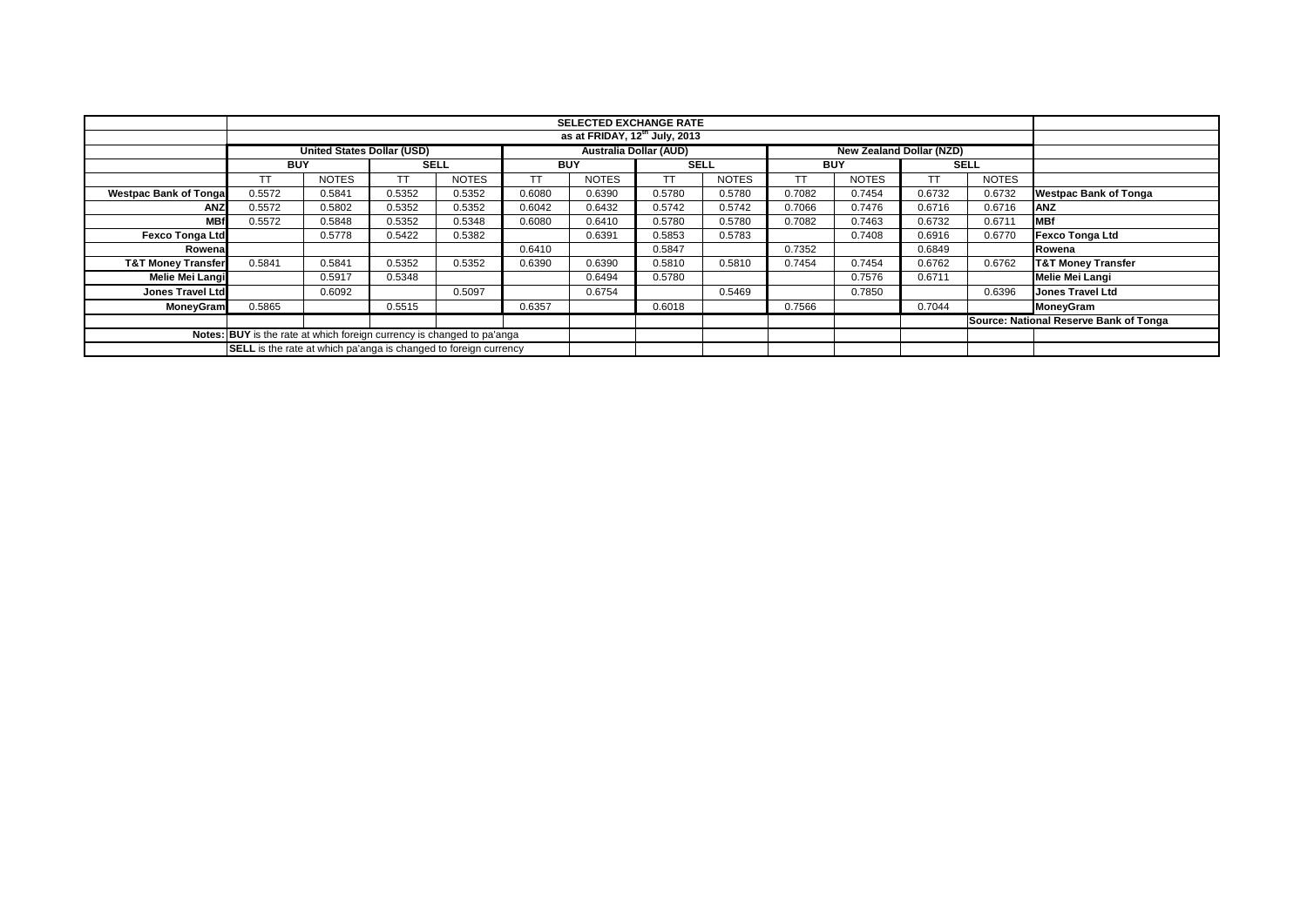|                               | <b>SELECTED EXCHANGE RATE</b>                                           |                                   |             |              |            |                                           |             |              |            |              |                                 |              |                                        |
|-------------------------------|-------------------------------------------------------------------------|-----------------------------------|-------------|--------------|------------|-------------------------------------------|-------------|--------------|------------|--------------|---------------------------------|--------------|----------------------------------------|
|                               |                                                                         |                                   |             |              |            | as at FRIDAY, $12^{\text{th}}$ July, 2013 |             |              |            |              |                                 |              |                                        |
|                               |                                                                         |                                   |             |              |            |                                           |             |              |            |              |                                 |              |                                        |
|                               |                                                                         | <b>United States Dollar (USD)</b> |             |              |            | <b>Australia Dollar (AUD)</b>             |             |              |            |              | <b>New Zealand Dollar (NZD)</b> |              |                                        |
|                               | <b>BUY</b>                                                              |                                   | <b>SELL</b> |              | <b>BUY</b> |                                           | <b>SELL</b> |              | <b>BUY</b> |              |                                 | <b>SELL</b>  |                                        |
|                               | <b>TT</b>                                                               | <b>NOTES</b>                      |             | <b>NOTES</b> | <b>TT</b>  | <b>NOTES</b>                              | <b>TT</b>   | <b>NOTES</b> | TТ         | <b>NOTES</b> | ТT                              | <b>NOTES</b> |                                        |
| <b>Westpac Bank of Tongal</b> | 0.5572                                                                  | 0.5841                            | 0.5352      | 0.5352       | 0.6080     | 0.6390                                    | 0.5780      | 0.5780       | 0.7082     | 0.7454       | 0.6732                          | 0.6732       | <b>Westpac Bank of Tonga</b>           |
| ANZ                           | 0.5572                                                                  | 0.5802                            | 0.5352      | 0.5352       | 0.6042     | 0.6432                                    | 0.5742      | 0.5742       | 0.7066     | 0.7476       | 0.6716                          | 0.6716       | <b>JANZ</b>                            |
| <b>MBf</b>                    | 0.5572                                                                  | 0.5848                            | 0.5352      | 0.5348       | 0.6080     | 0.6410                                    | 0.5780      | 0.5780       | 0.7082     | 0.7463       | 0.6732                          | 0.6711       | <b>MBf</b>                             |
| <b>Fexco Tonga Ltd</b>        |                                                                         | 0.5778                            | 0.5422      | 0.5382       |            | 0.6391                                    | 0.5853      | 0.5783       |            | 0.7408       | 0.6916                          | 0.6770       | <b>Fexco Tonga Ltd</b>                 |
| Rowenal                       |                                                                         |                                   |             |              | 0.6410     |                                           | 0.5847      |              | 0.7352     |              | 0.6849                          |              | Rowena                                 |
| <b>T&amp;T Money Transfer</b> | 0.5841                                                                  | 0.5841                            | 0.5352      | 0.5352       | 0.6390     | 0.6390                                    | 0.5810      | 0.5810       | 0.7454     | 0.7454       | 0.6762                          | 0.6762       | <b>T&amp;T Money Transfer</b>          |
| Melie Mei Langi               |                                                                         | 0.5917                            | 0.5348      |              |            | 0.6494                                    | 0.5780      |              |            | 0.7576       | 0.6711                          |              | <b>Melie Mei Langi</b>                 |
| Jones Travel Ltd              |                                                                         | 0.6092                            |             | 0.5097       |            | 0.6754                                    |             | 0.5469       |            | 0.7850       |                                 | 0.6396       | <b>Jones Travel Ltd</b>                |
| <b>MoneyGram</b>              | 0.5865                                                                  |                                   | 0.5515      |              | 0.6357     |                                           | 0.6018      |              | 0.7566     |              | 0.7044                          |              | MoneyGram                              |
|                               |                                                                         |                                   |             |              |            |                                           |             |              |            |              |                                 |              | Source: National Reserve Bank of Tonga |
|                               | Notes: BUY is the rate at which foreign currency is changed to pa'anga  |                                   |             |              |            |                                           |             |              |            |              |                                 |              |                                        |
|                               | <b>SELL</b> is the rate at which pa'anga is changed to foreign currency |                                   |             |              |            |                                           |             |              |            |              |                                 |              |                                        |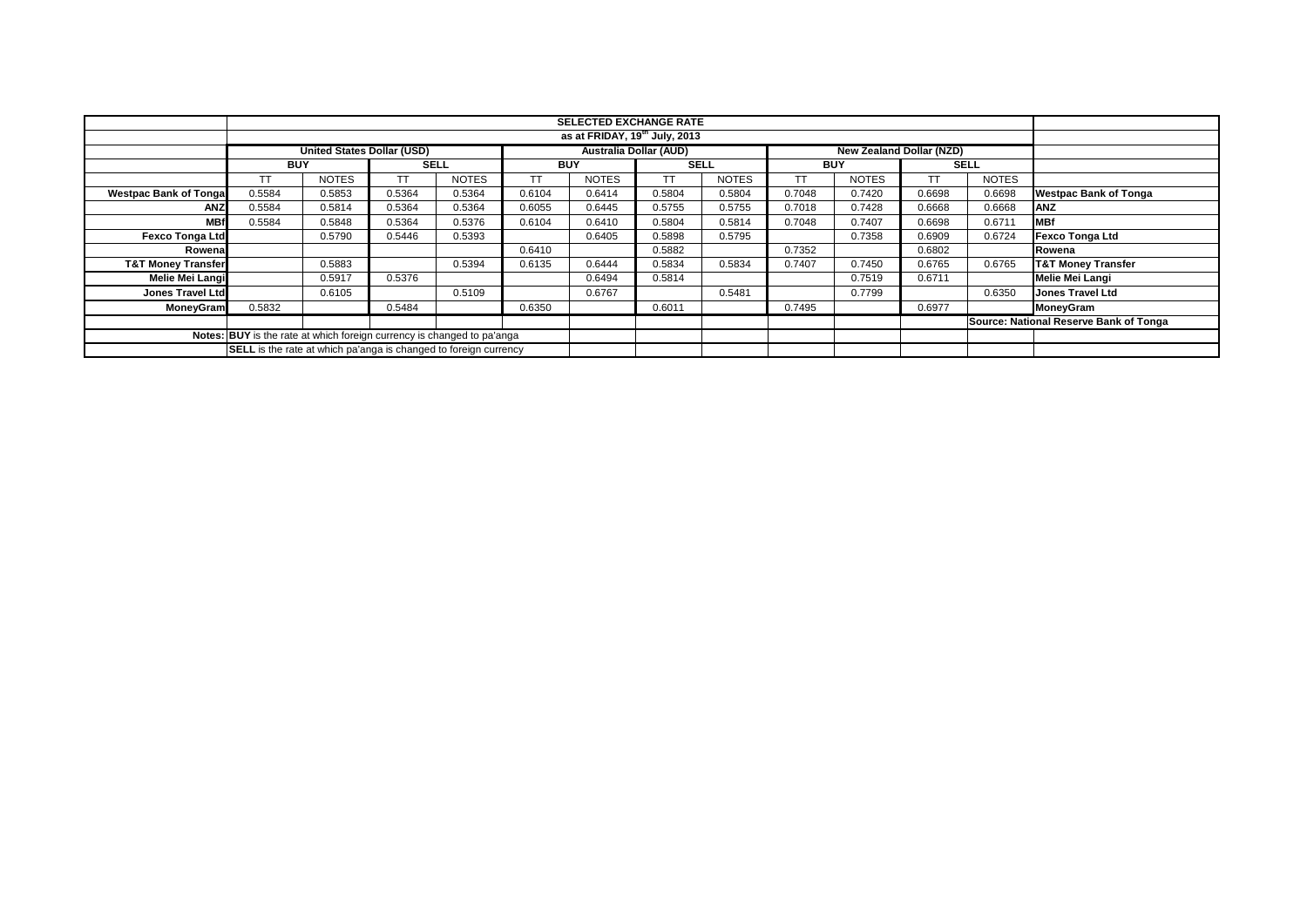|                                                                        |            |                                   |             |              |            | <b>SELECTED EXCHANGE RATE</b><br>as at FRIDAY, $19^{\text{th}}$ July, 2013 |             |              |            |              |           |              |                                        |
|------------------------------------------------------------------------|------------|-----------------------------------|-------------|--------------|------------|----------------------------------------------------------------------------|-------------|--------------|------------|--------------|-----------|--------------|----------------------------------------|
|                                                                        |            |                                   |             |              |            |                                                                            |             |              |            |              |           |              |                                        |
|                                                                        |            | <b>United States Dollar (USD)</b> |             |              |            | <b>Australia Dollar (AUD)</b><br><b>New Zealand Dollar (NZD)</b>           |             |              |            |              |           |              |                                        |
|                                                                        | <b>BUY</b> |                                   | <b>SELL</b> |              | <b>BUY</b> |                                                                            | <b>SELL</b> |              | <b>BUY</b> |              |           | <b>SELL</b>  |                                        |
|                                                                        | TT         | <b>NOTES</b>                      | TТ          | <b>NOTES</b> | TT         | <b>NOTES</b>                                                               | <b>TT</b>   | <b>NOTES</b> | TТ         | <b>NOTES</b> | <b>TT</b> | <b>NOTES</b> |                                        |
| <b>Westpac Bank of Tonga</b>                                           | 0.5584     | 0.5853                            | 0.5364      | 0.5364       | 0.6104     | 0.6414                                                                     | 0.5804      | 0.5804       | 0.7048     | 0.7420       | 0.6698    | 0.6698       | <b>Westpac Bank of Tonga</b>           |
| ANZ                                                                    | 0.5584     | 0.5814                            | 0.5364      | 0.5364       | 0.6055     | 0.6445                                                                     | 0.5755      | 0.5755       | 0.7018     | 0.7428       | 0.6668    | 0.6668       | <b>ANZ</b>                             |
| <b>MBf</b>                                                             | 0.5584     | 0.5848                            | 0.5364      | 0.5376       | 0.6104     | 0.6410                                                                     | 0.5804      | 0.5814       | 0.7048     | 0.7407       | 0.6698    | 0.6711       | <b>MBf</b>                             |
| <b>Fexco Tonga Ltd</b>                                                 |            | 0.5790                            | 0.5446      | 0.5393       |            | 0.6405                                                                     | 0.5898      | 0.5795       |            | 0.7358       | 0.6909    | 0.6724       | <b>Fexco Tonga Ltd</b>                 |
| Rowena                                                                 |            |                                   |             |              | 0.6410     |                                                                            | 0.5882      |              | 0.7352     |              | 0.6802    |              | Rowena                                 |
| <b>T&amp;T Money Transfer</b>                                          |            | 0.5883                            |             | 0.5394       | 0.6135     | 0.6444                                                                     | 0.5834      | 0.5834       | 0.7407     | 0.7450       | 0.6765    | 0.6765       | <b>T&amp;T Money Transfer</b>          |
| Melie Mei Langi                                                        |            | 0.5917                            | 0.5376      |              |            | 0.6494                                                                     | 0.5814      |              |            | 0.7519       | 0.6711    |              | <b>Melie Mei Langi</b>                 |
| <b>Jones Travel Ltd</b>                                                |            | 0.6105                            |             | 0.5109       |            | 0.6767                                                                     |             | 0.5481       |            | 0.7799       |           | 0.6350       | <b>Jones Travel Ltd</b>                |
| MoneyGram                                                              | 0.5832     |                                   | 0.5484      |              | 0.6350     |                                                                            | 0.6011      |              | 0.7495     |              | 0.6977    |              | MoneyGram                              |
|                                                                        |            |                                   |             |              |            |                                                                            |             |              |            |              |           |              | Source: National Reserve Bank of Tonga |
| Notes: BUY is the rate at which foreign currency is changed to pa'anga |            |                                   |             |              |            |                                                                            |             |              |            |              |           |              |                                        |
| SELL is the rate at which pa'anga is changed to foreign currency       |            |                                   |             |              |            |                                                                            |             |              |            |              |           |              |                                        |